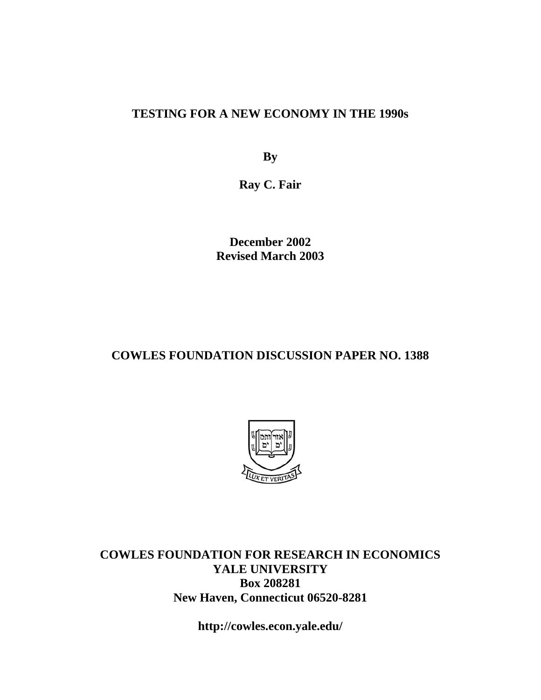### **TESTING FOR A NEW ECONOMY IN THE 1990s**

**By** 

**Ray C. Fair** 

**December 2002 Revised March 2003** 

### **COWLES FOUNDATION DISCUSSION PAPER NO. 1388**



**COWLES FOUNDATION FOR RESEARCH IN ECONOMICS YALE UNIVERSITY Box 208281 New Haven, Connecticut 06520-8281** 

**http://cowles.econ.yale.edu/**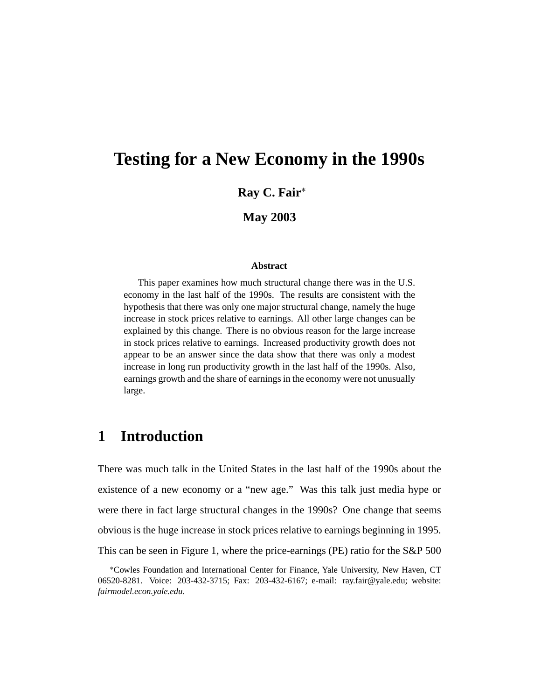# **Testing for a New Economy in the 1990s**

**Ray C. Fair**<sup>∗</sup>

**May 2003**

#### **Abstract**

This paper examines how much structural change there was in the U.S. economy in the last half of the 1990s. The results are consistent with the hypothesis that there was only one major structural change, namely the huge increase in stock prices relative to earnings. All other large changes can be explained by this change. There is no obvious reason for the large increase in stock prices relative to earnings. Increased productivity growth does not appear to be an answer since the data show that there was only a modest increase in long run productivity growth in the last half of the 1990s. Also, earnings growth and the share of earnings in the economy were not unusually large.

# **1 Introduction**

There was much talk in the United States in the last half of the 1990s about the existence of a new economy or a "new age." Was this talk just media hype or were there in fact large structural changes in the 1990s? One change that seems obvious is the huge increase in stock prices relative to earnings beginning in 1995. This can be seen in Figure 1, where the price-earnings (PE) ratio for the S&P 500

<sup>∗</sup>Cowles Foundation and International Center for Finance, Yale University, New Haven, CT 06520-8281. Voice: 203-432-3715; Fax: 203-432-6167; e-mail: ray.fair@yale.edu; website: *fairmodel.econ.yale.edu*.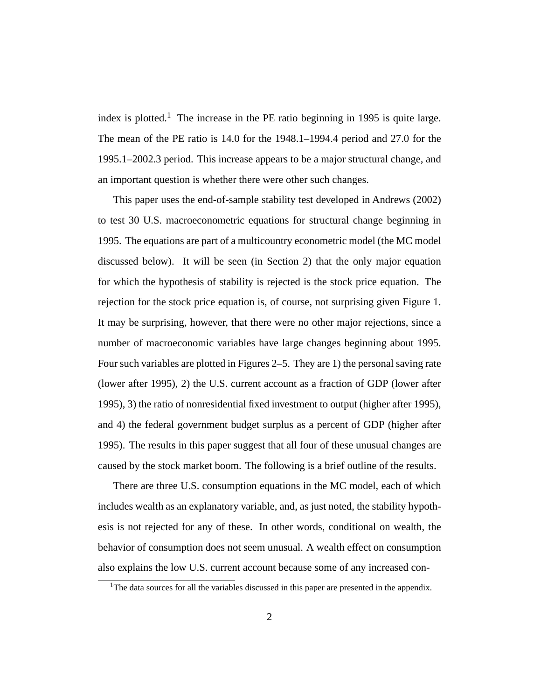index is plotted.<sup>1</sup> The increase in the PE ratio beginning in 1995 is quite large. The mean of the PE ratio is 14.0 for the 1948.1–1994.4 period and 27.0 for the 1995.1–2002.3 period. This increase appears to be a major structural change, and an important question is whether there were other such changes.

This paper uses the end-of-sample stability test developed in Andrews (2002) to test 30 U.S. macroeconometric equations for structural change beginning in 1995. The equations are part of a multicountry econometric model (the MC model discussed below). It will be seen (in Section 2) that the only major equation for which the hypothesis of stability is rejected is the stock price equation. The rejection for the stock price equation is, of course, not surprising given Figure 1. It may be surprising, however, that there were no other major rejections, since a number of macroeconomic variables have large changes beginning about 1995. Four such variables are plotted in Figures 2–5. They are 1) the personal saving rate (lower after 1995), 2) the U.S. current account as a fraction of GDP (lower after 1995), 3) the ratio of nonresidential fixed investment to output (higher after 1995), and 4) the federal government budget surplus as a percent of GDP (higher after 1995). The results in this paper suggest that all four of these unusual changes are caused by the stock market boom. The following is a brief outline of the results.

There are three U.S. consumption equations in the MC model, each of which includes wealth as an explanatory variable, and, as just noted, the stability hypothesis is not rejected for any of these. In other words, conditional on wealth, the behavior of consumption does not seem unusual. A wealth effect on consumption also explains the low U.S. current account because some of any increased con-

<sup>&</sup>lt;sup>1</sup>The data sources for all the variables discussed in this paper are presented in the appendix.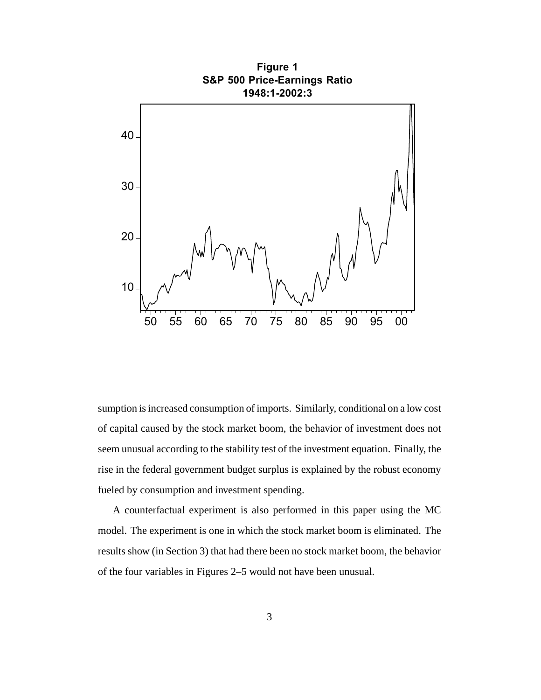

sumption is increased consumption of imports. Similarly, conditional on a low cost of capital caused by the stock market boom, the behavior of investment does not seem unusual according to the stability test of the investment equation. Finally, the rise in the federal government budget surplus is explained by the robust economy fueled by consumption and investment spending.

A counterfactual experiment is also performed in this paper using the MC model. The experiment is one in which the stock market boom is eliminated. The results show (in Section 3) that had there been no stock market boom, the behavior of the four variables in Figures 2–5 would not have been unusual.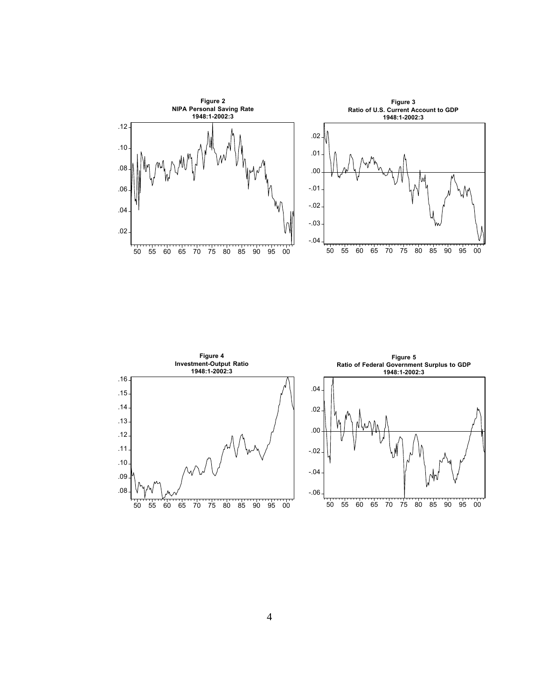

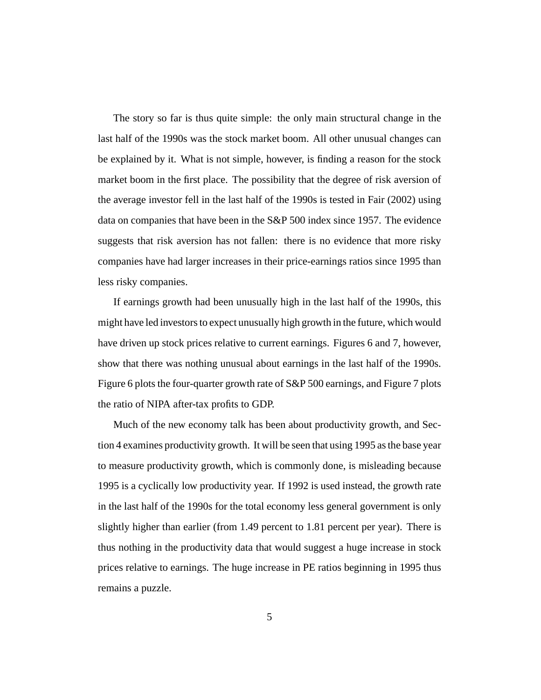The story so far is thus quite simple: the only main structural change in the last half of the 1990s was the stock market boom. All other unusual changes can be explained by it. What is not simple, however, is finding a reason for the stock market boom in the first place. The possibility that the degree of risk aversion of the average investor fell in the last half of the 1990s is tested in Fair (2002) using data on companies that have been in the S&P 500 index since 1957. The evidence suggests that risk aversion has not fallen: there is no evidence that more risky companies have had larger increases in their price-earnings ratios since 1995 than less risky companies.

If earnings growth had been unusually high in the last half of the 1990s, this might have led investors to expect unusually high growth in the future, which would have driven up stock prices relative to current earnings. Figures 6 and 7, however, show that there was nothing unusual about earnings in the last half of the 1990s. Figure 6 plots the four-quarter growth rate of S&P 500 earnings, and Figure 7 plots the ratio of NIPA after-tax profits to GDP.

Much of the new economy talk has been about productivity growth, and Section 4 examines productivity growth. It will be seen that using 1995 as the base year to measure productivity growth, which is commonly done, is misleading because 1995 is a cyclically low productivity year. If 1992 is used instead, the growth rate in the last half of the 1990s for the total economy less general government is only slightly higher than earlier (from 1.49 percent to 1.81 percent per year). There is thus nothing in the productivity data that would suggest a huge increase in stock prices relative to earnings. The huge increase in PE ratios beginning in 1995 thus remains a puzzle.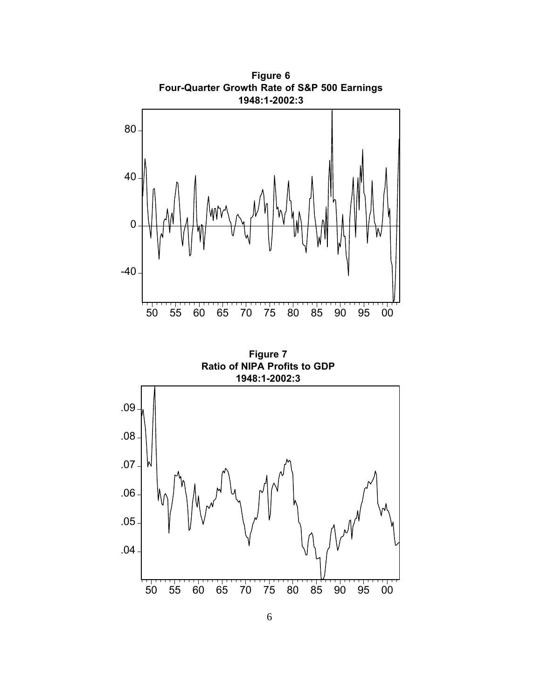

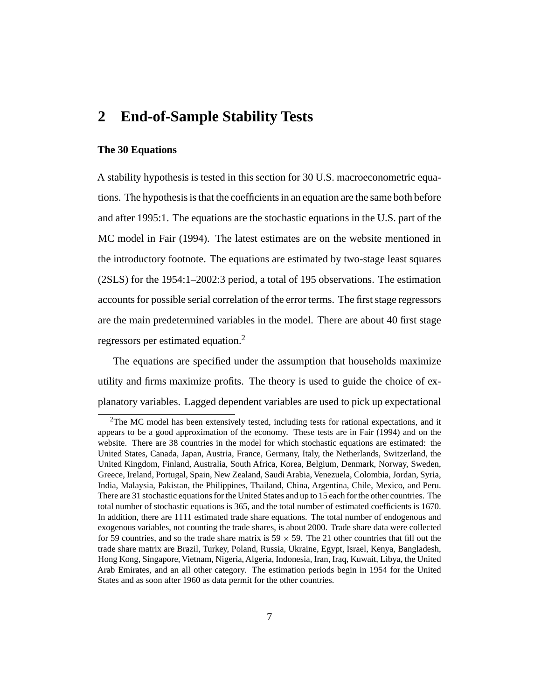### **2 End-of-Sample Stability Tests**

#### **The 30 Equations**

A stability hypothesis is tested in this section for 30 U.S. macroeconometric equations. The hypothesis is that the coefficients in an equation are the same both before and after 1995:1. The equations are the stochastic equations in the U.S. part of the MC model in Fair (1994). The latest estimates are on the website mentioned in the introductory footnote. The equations are estimated by two-stage least squares (2SLS) for the 1954:1–2002:3 period, a total of 195 observations. The estimation accounts for possible serial correlation of the error terms. The first stage regressors are the main predetermined variables in the model. There are about 40 first stage regressors per estimated equation.2

The equations are specified under the assumption that households maximize utility and firms maximize profits. The theory is used to guide the choice of explanatory variables. Lagged dependent variables are used to pick up expectational

 ${}^{2}$ The MC model has been extensively tested, including tests for rational expectations, and it appears to be a good approximation of the economy. These tests are in Fair (1994) and on the website. There are 38 countries in the model for which stochastic equations are estimated: the United States, Canada, Japan, Austria, France, Germany, Italy, the Netherlands, Switzerland, the United Kingdom, Finland, Australia, South Africa, Korea, Belgium, Denmark, Norway, Sweden, Greece, Ireland, Portugal, Spain, New Zealand, Saudi Arabia, Venezuela, Colombia, Jordan, Syria, India, Malaysia, Pakistan, the Philippines, Thailand, China, Argentina, Chile, Mexico, and Peru. There are 31 stochastic equations for the United States and up to 15 each for the other countries. The total number of stochastic equations is 365, and the total number of estimated coefficients is 1670. In addition, there are 1111 estimated trade share equations. The total number of endogenous and exogenous variables, not counting the trade shares, is about 2000. Trade share data were collected for 59 countries, and so the trade share matrix is  $59 \times 59$ . The 21 other countries that fill out the trade share matrix are Brazil, Turkey, Poland, Russia, Ukraine, Egypt, Israel, Kenya, Bangladesh, Hong Kong, Singapore, Vietnam, Nigeria, Algeria, Indonesia, Iran, Iraq, Kuwait, Libya, the United Arab Emirates, and an all other category. The estimation periods begin in 1954 for the United States and as soon after 1960 as data permit for the other countries.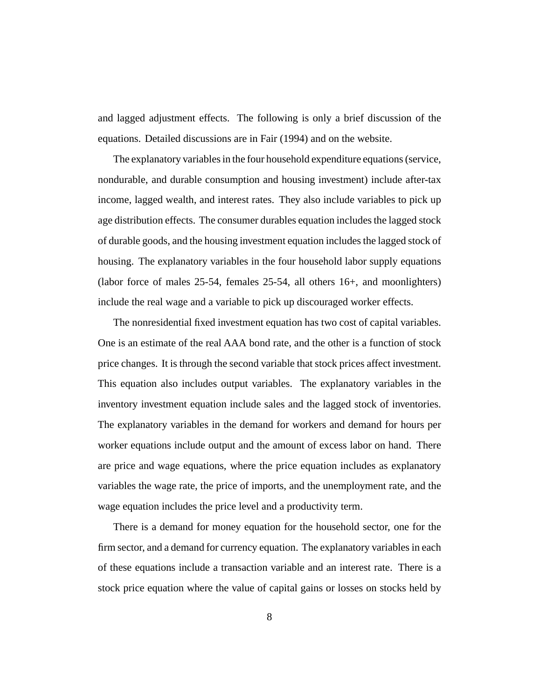and lagged adjustment effects. The following is only a brief discussion of the equations. Detailed discussions are in Fair (1994) and on the website.

The explanatory variables in the four household expenditure equations (service, nondurable, and durable consumption and housing investment) include after-tax income, lagged wealth, and interest rates. They also include variables to pick up age distribution effects. The consumer durables equation includes the lagged stock of durable goods, and the housing investment equation includes the lagged stock of housing. The explanatory variables in the four household labor supply equations (labor force of males 25-54, females 25-54, all others 16+, and moonlighters) include the real wage and a variable to pick up discouraged worker effects.

The nonresidential fixed investment equation has two cost of capital variables. One is an estimate of the real AAA bond rate, and the other is a function of stock price changes. It is through the second variable that stock prices affect investment. This equation also includes output variables. The explanatory variables in the inventory investment equation include sales and the lagged stock of inventories. The explanatory variables in the demand for workers and demand for hours per worker equations include output and the amount of excess labor on hand. There are price and wage equations, where the price equation includes as explanatory variables the wage rate, the price of imports, and the unemployment rate, and the wage equation includes the price level and a productivity term.

There is a demand for money equation for the household sector, one for the firm sector, and a demand for currency equation. The explanatory variables in each of these equations include a transaction variable and an interest rate. There is a stock price equation where the value of capital gains or losses on stocks held by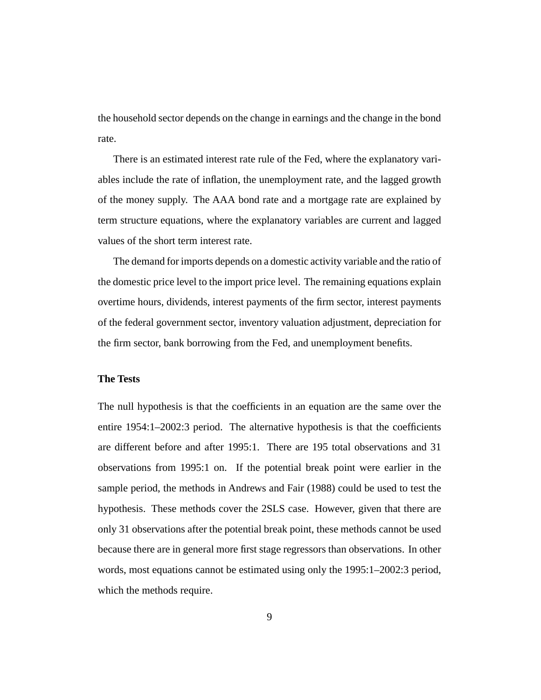the household sector depends on the change in earnings and the change in the bond rate.

There is an estimated interest rate rule of the Fed, where the explanatory variables include the rate of inflation, the unemployment rate, and the lagged growth of the money supply. The AAA bond rate and a mortgage rate are explained by term structure equations, where the explanatory variables are current and lagged values of the short term interest rate.

The demand for imports depends on a domestic activity variable and the ratio of the domestic price level to the import price level. The remaining equations explain overtime hours, dividends, interest payments of the firm sector, interest payments of the federal government sector, inventory valuation adjustment, depreciation for the firm sector, bank borrowing from the Fed, and unemployment benefits.

### **The Tests**

The null hypothesis is that the coefficients in an equation are the same over the entire 1954:1–2002:3 period. The alternative hypothesis is that the coefficients are different before and after 1995:1. There are 195 total observations and 31 observations from 1995:1 on. If the potential break point were earlier in the sample period, the methods in Andrews and Fair (1988) could be used to test the hypothesis. These methods cover the 2SLS case. However, given that there are only 31 observations after the potential break point, these methods cannot be used because there are in general more first stage regressors than observations. In other words, most equations cannot be estimated using only the 1995:1–2002:3 period, which the methods require.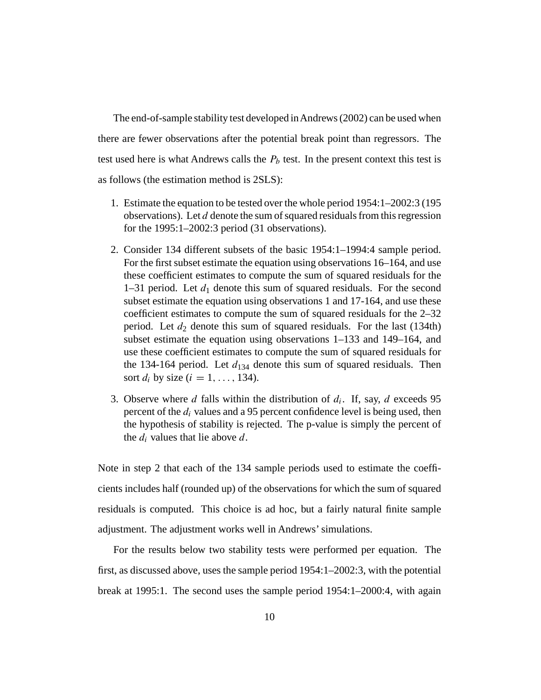The end-of-sample stability test developed inAndrews (2002) can be used when there are fewer observations after the potential break point than regressors. The test used here is what Andrews calls the  $P_b$  test. In the present context this test is as follows (the estimation method is 2SLS):

- 1. Estimate the equation to be tested over the whole period 1954:1–2002:3 (195 observations). Let d denote the sum of squared residuals from this regression for the 1995:1–2002:3 period (31 observations).
- 2. Consider 134 different subsets of the basic 1954:1–1994:4 sample period. For the first subset estimate the equation using observations 16–164, and use these coefficient estimates to compute the sum of squared residuals for the 1–31 period. Let  $d_1$  denote this sum of squared residuals. For the second subset estimate the equation using observations 1 and 17-164, and use these coefficient estimates to compute the sum of squared residuals for the 2–32 period. Let  $d_2$  denote this sum of squared residuals. For the last (134th) subset estimate the equation using observations 1–133 and 149–164, and use these coefficient estimates to compute the sum of squared residuals for the 134-164 period. Let  $d_{134}$  denote this sum of squared residuals. Then sort  $d_i$  by size  $(i = 1, \ldots, 134)$ .
- 3. Observe where d falls within the distribution of  $d_i$ . If, say, d exceeds 95 percent of the  $d_i$  values and a 95 percent confidence level is being used, then the hypothesis of stability is rejected. The p-value is simply the percent of the  $d_i$  values that lie above d.

Note in step 2 that each of the 134 sample periods used to estimate the coefficients includes half (rounded up) of the observations for which the sum of squared residuals is computed. This choice is ad hoc, but a fairly natural finite sample adjustment. The adjustment works well in Andrews' simulations.

For the results below two stability tests were performed per equation. The first, as discussed above, uses the sample period 1954:1–2002:3, with the potential break at 1995:1. The second uses the sample period 1954:1–2000:4, with again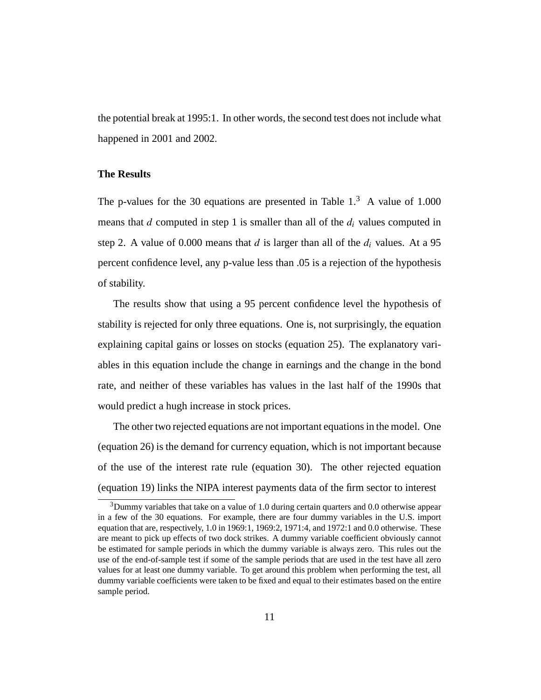the potential break at 1995:1. In other words, the second test does not include what happened in 2001 and 2002.

### **The Results**

The p-values for the 30 equations are presented in Table  $1<sup>3</sup>$  A value of 1.000 means that  $d$  computed in step 1 is smaller than all of the  $d_i$  values computed in step 2. A value of 0.000 means that d is larger than all of the  $d_i$  values. At a 95 percent confidence level, any p-value less than .05 is a rejection of the hypothesis of stability.

The results show that using a 95 percent confidence level the hypothesis of stability is rejected for only three equations. One is, not surprisingly, the equation explaining capital gains or losses on stocks (equation 25). The explanatory variables in this equation include the change in earnings and the change in the bond rate, and neither of these variables has values in the last half of the 1990s that would predict a hugh increase in stock prices.

The other two rejected equations are not important equations in the model. One (equation 26) is the demand for currency equation, which is not important because of the use of the interest rate rule (equation 30). The other rejected equation (equation 19) links the NIPA interest payments data of the firm sector to interest

<sup>&</sup>lt;sup>3</sup>Dummy variables that take on a value of 1.0 during certain quarters and 0.0 otherwise appear in a few of the 30 equations. For example, there are four dummy variables in the U.S. import equation that are, respectively, 1.0 in 1969:1, 1969:2, 1971:4, and 1972:1 and 0.0 otherwise. These are meant to pick up effects of two dock strikes. A dummy variable coefficient obviously cannot be estimated for sample periods in which the dummy variable is always zero. This rules out the use of the end-of-sample test if some of the sample periods that are used in the test have all zero values for at least one dummy variable. To get around this problem when performing the test, all dummy variable coefficients were taken to be fixed and equal to their estimates based on the entire sample period.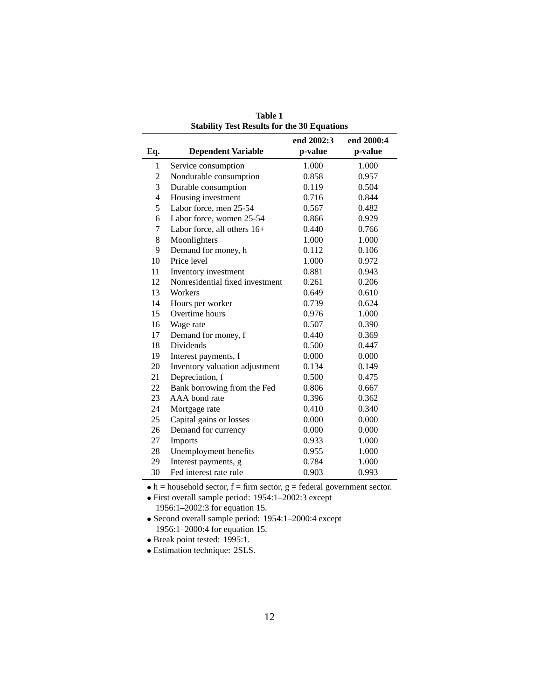|                          |                                 | end 2002:3 | end 2000:4 |
|--------------------------|---------------------------------|------------|------------|
| Eq.                      | <b>Dependent Variable</b>       | p-value    | p-value    |
| 1                        | Service consumption             | 1.000      | 1.000      |
| 2                        | Nondurable consumption          | 0.858      | 0.957      |
| 3                        | Durable consumption             | 0.119      | 0.504      |
| $\overline{\mathcal{L}}$ | Housing investment              | 0.716      | 0.844      |
| 5                        | Labor force, men 25-54          | 0.567      | 0.482      |
| 6                        | Labor force, women 25-54        | 0.866      | 0.929      |
| 7                        | Labor force, all others 16+     | 0.440      | 0.766      |
| 8                        | Moonlighters                    | 1.000      | 1.000      |
| 9                        | Demand for money, h             | 0.112      | 0.106      |
| 10                       | Price level                     | 1.000      | 0.972      |
| 11                       | Inventory investment            | 0.881      | 0.943      |
| 12                       | Nonresidential fixed investment | 0.261      | 0.206      |
| 13                       | Workers                         | 0.649      | 0.610      |
| 14                       | Hours per worker                | 0.739      | 0.624      |
| 15                       | Overtime hours                  | 0.976      | 1.000      |
| 16                       | Wage rate                       | 0.507      | 0.390      |
| 17                       | Demand for money, f             | 0.440      | 0.369      |
| 18                       | <b>Dividends</b>                | 0.500      | 0.447      |
| 19                       | Interest payments, f            | 0.000      | 0.000      |
| 20                       | Inventory valuation adjustment  | 0.134      | 0.149      |
| 21                       | Depreciation, f                 | 0.500      | 0.475      |
| 22                       | Bank borrowing from the Fed     | 0.806      | 0.667      |
| 23                       | AAA bond rate                   | 0.396      | 0.362      |
| 24                       | Mortgage rate                   | 0.410      | 0.340      |
| 25                       | Capital gains or losses         | 0.000      | 0.000      |
| 26                       | Demand for currency             | 0.000      | 0.000      |
| 27                       | Imports                         | 0.933      | 1.000      |
| 28                       | Unemployment benefits           | 0.955      | 1.000      |
| 29                       | Interest payments, g            | 0.784      | 1.000      |
| 30                       | Fed interest rate rule          | 0.903      | 0.993      |

**Table 1 Stability Test Results for the 30 Equations**

 $\bullet$  h = household sector, f = firm sector, g = federal government sector.

• Break point tested: 1995:1.

• Estimation technique: 2SLS.

<sup>•</sup> First overall sample period: 1954:1–2002:3 except 1956:1–2002:3 for equation 15.

<sup>•</sup> Second overall sample period: 1954:1–2000:4 except 1956:1–2000:4 for equation 15.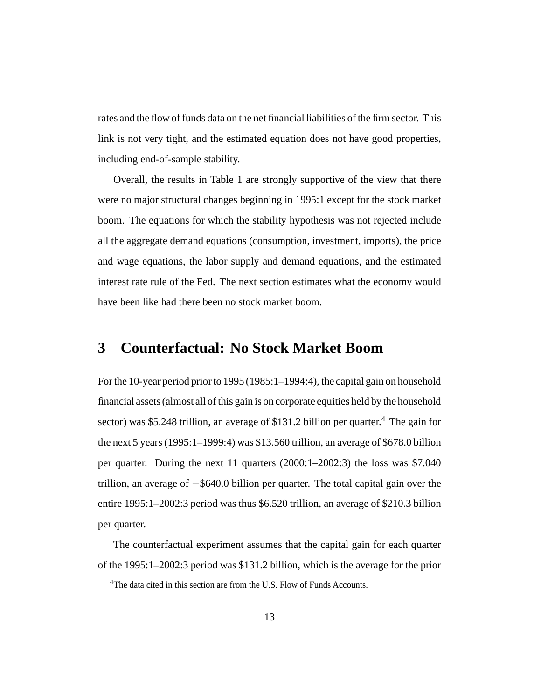rates and the flow of funds data on the net financial liabilities of the firm sector. This link is not very tight, and the estimated equation does not have good properties, including end-of-sample stability.

Overall, the results in Table 1 are strongly supportive of the view that there were no major structural changes beginning in 1995:1 except for the stock market boom. The equations for which the stability hypothesis was not rejected include all the aggregate demand equations (consumption, investment, imports), the price and wage equations, the labor supply and demand equations, and the estimated interest rate rule of the Fed. The next section estimates what the economy would have been like had there been no stock market boom.

### **3 Counterfactual: No Stock Market Boom**

For the 10-year period prior to 1995 (1985:1–1994:4), the capital gain on household financial assets (almost all of this gain is on corporate equities held by the household sector) was \$5.248 trillion, an average of \$131.2 billion per quarter.<sup>4</sup> The gain for the next 5 years (1995:1–1999:4) was \$13.560 trillion, an average of \$678.0 billion per quarter. During the next 11 quarters (2000:1–2002:3) the loss was \$7.040 trillion, an average of −\$640.0 billion per quarter. The total capital gain over the entire 1995:1–2002:3 period was thus \$6.520 trillion, an average of \$210.3 billion per quarter.

The counterfactual experiment assumes that the capital gain for each quarter of the 1995:1–2002:3 period was \$131.2 billion, which is the average for the prior

<sup>&</sup>lt;sup>4</sup>The data cited in this section are from the U.S. Flow of Funds Accounts.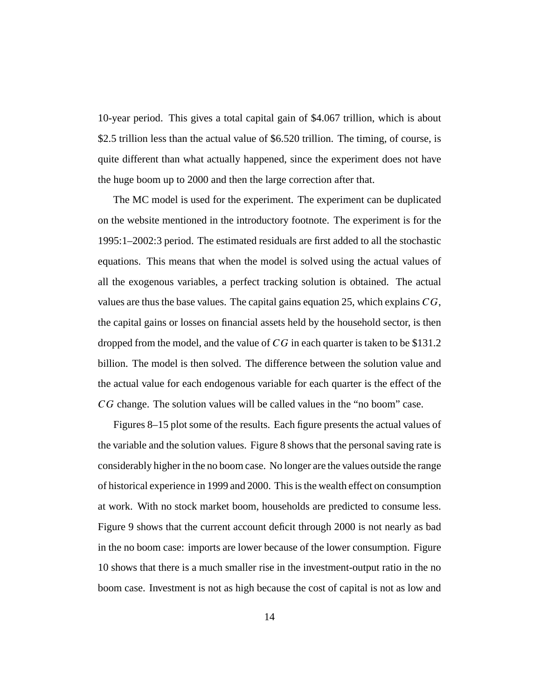10-year period. This gives a total capital gain of \$4.067 trillion, which is about \$2.5 trillion less than the actual value of \$6.520 trillion. The timing, of course, is quite different than what actually happened, since the experiment does not have the huge boom up to 2000 and then the large correction after that.

The MC model is used for the experiment. The experiment can be duplicated on the website mentioned in the introductory footnote. The experiment is for the 1995:1–2002:3 period. The estimated residuals are first added to all the stochastic equations. This means that when the model is solved using the actual values of all the exogenous variables, a perfect tracking solution is obtained. The actual values are thus the base values. The capital gains equation 25, which explains CG, the capital gains or losses on financial assets held by the household sector, is then dropped from the model, and the value of CG in each quarter is taken to be \$131.2 billion. The model is then solved. The difference between the solution value and the actual value for each endogenous variable for each quarter is the effect of the CG change. The solution values will be called values in the "no boom" case.

Figures 8–15 plot some of the results. Each figure presents the actual values of the variable and the solution values. Figure 8 shows that the personal saving rate is considerably higher in the no boom case. No longer are the values outside the range of historical experience in 1999 and 2000. This is the wealth effect on consumption at work. With no stock market boom, households are predicted to consume less. Figure 9 shows that the current account deficit through 2000 is not nearly as bad in the no boom case: imports are lower because of the lower consumption. Figure 10 shows that there is a much smaller rise in the investment-output ratio in the no boom case. Investment is not as high because the cost of capital is not as low and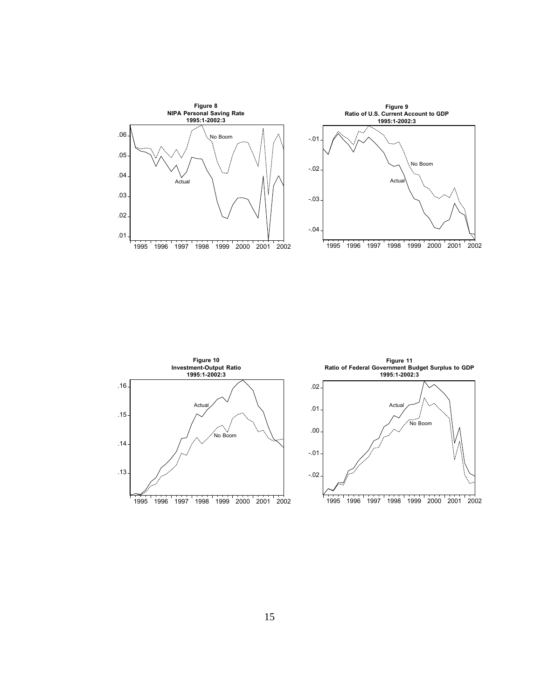

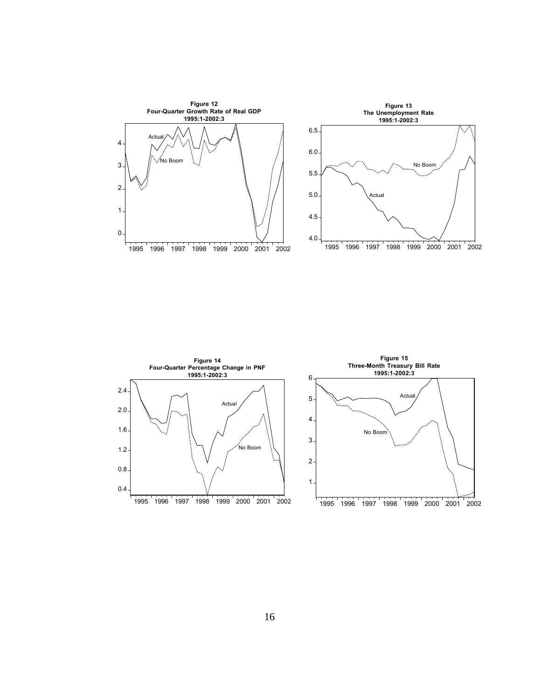

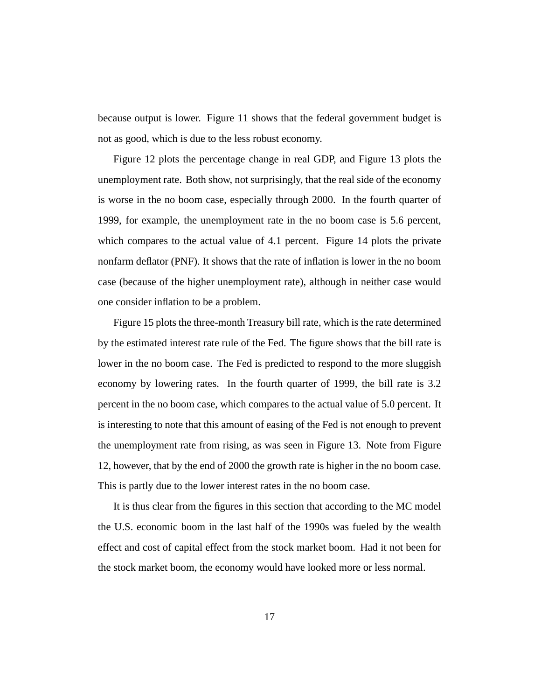because output is lower. Figure 11 shows that the federal government budget is not as good, which is due to the less robust economy.

Figure 12 plots the percentage change in real GDP, and Figure 13 plots the unemployment rate. Both show, not surprisingly, that the real side of the economy is worse in the no boom case, especially through 2000. In the fourth quarter of 1999, for example, the unemployment rate in the no boom case is 5.6 percent, which compares to the actual value of 4.1 percent. Figure 14 plots the private nonfarm deflator (PNF). It shows that the rate of inflation is lower in the no boom case (because of the higher unemployment rate), although in neither case would one consider inflation to be a problem.

Figure 15 plots the three-month Treasury bill rate, which is the rate determined by the estimated interest rate rule of the Fed. The figure shows that the bill rate is lower in the no boom case. The Fed is predicted to respond to the more sluggish economy by lowering rates. In the fourth quarter of 1999, the bill rate is 3.2 percent in the no boom case, which compares to the actual value of 5.0 percent. It is interesting to note that this amount of easing of the Fed is not enough to prevent the unemployment rate from rising, as was seen in Figure 13. Note from Figure 12, however, that by the end of 2000 the growth rate is higher in the no boom case. This is partly due to the lower interest rates in the no boom case.

It is thus clear from the figures in this section that according to the MC model the U.S. economic boom in the last half of the 1990s was fueled by the wealth effect and cost of capital effect from the stock market boom. Had it not been for the stock market boom, the economy would have looked more or less normal.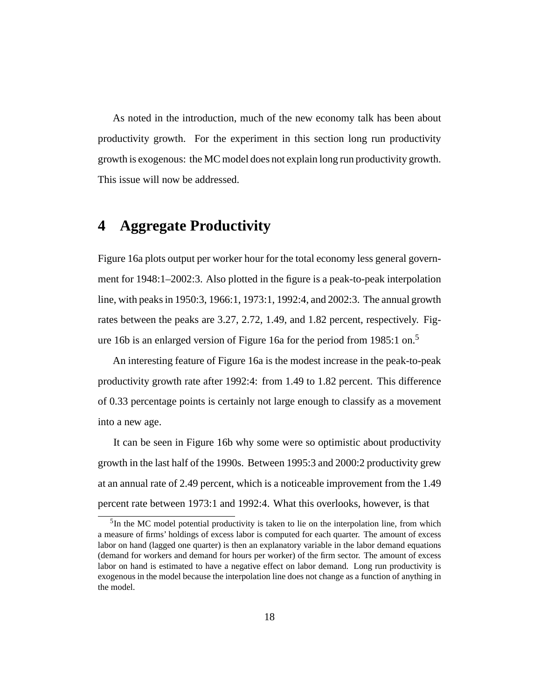As noted in the introduction, much of the new economy talk has been about productivity growth. For the experiment in this section long run productivity growth is exogenous: the MC model does not explain long run productivity growth. This issue will now be addressed.

### **4 Aggregate Productivity**

Figure 16a plots output per worker hour for the total economy less general government for 1948:1–2002:3. Also plotted in the figure is a peak-to-peak interpolation line, with peaks in 1950:3, 1966:1, 1973:1, 1992:4, and 2002:3. The annual growth rates between the peaks are 3.27, 2.72, 1.49, and 1.82 percent, respectively. Figure 16b is an enlarged version of Figure 16a for the period from 1985:1 on.<sup>5</sup>

An interesting feature of Figure 16a is the modest increase in the peak-to-peak productivity growth rate after 1992:4: from 1.49 to 1.82 percent. This difference of 0.33 percentage points is certainly not large enough to classify as a movement into a new age.

It can be seen in Figure 16b why some were so optimistic about productivity growth in the last half of the 1990s. Between 1995:3 and 2000:2 productivity grew at an annual rate of 2.49 percent, which is a noticeable improvement from the 1.49 percent rate between 1973:1 and 1992:4. What this overlooks, however, is that

<sup>&</sup>lt;sup>5</sup>In the MC model potential productivity is taken to lie on the interpolation line, from which a measure of firms' holdings of excess labor is computed for each quarter. The amount of excess labor on hand (lagged one quarter) is then an explanatory variable in the labor demand equations (demand for workers and demand for hours per worker) of the firm sector. The amount of excess labor on hand is estimated to have a negative effect on labor demand. Long run productivity is exogenous in the model because the interpolation line does not change as a function of anything in the model.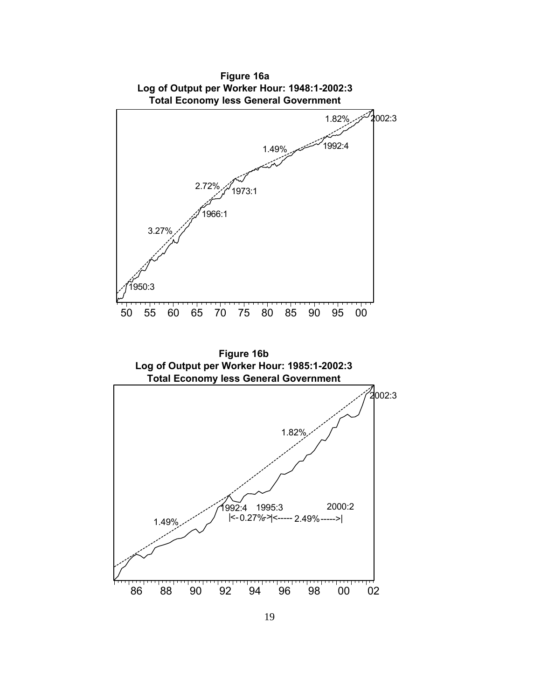

**Figure 16a**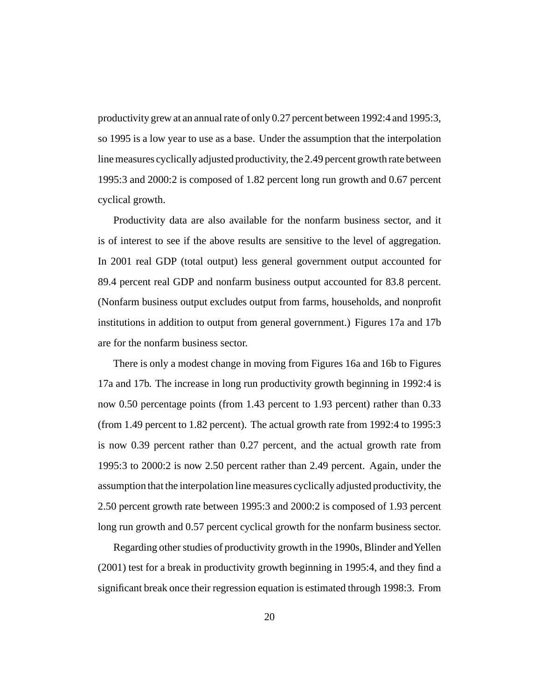productivity grew at an annual rate of only 0.27 percent between 1992:4 and 1995:3, so 1995 is a low year to use as a base. Under the assumption that the interpolation line measures cyclically adjusted productivity, the 2.49 percent growth rate between 1995:3 and 2000:2 is composed of 1.82 percent long run growth and 0.67 percent cyclical growth.

Productivity data are also available for the nonfarm business sector, and it is of interest to see if the above results are sensitive to the level of aggregation. In 2001 real GDP (total output) less general government output accounted for 89.4 percent real GDP and nonfarm business output accounted for 83.8 percent. (Nonfarm business output excludes output from farms, households, and nonprofit institutions in addition to output from general government.) Figures 17a and 17b are for the nonfarm business sector.

There is only a modest change in moving from Figures 16a and 16b to Figures 17a and 17b. The increase in long run productivity growth beginning in 1992:4 is now 0.50 percentage points (from 1.43 percent to 1.93 percent) rather than 0.33 (from 1.49 percent to 1.82 percent). The actual growth rate from 1992:4 to 1995:3 is now 0.39 percent rather than 0.27 percent, and the actual growth rate from 1995:3 to 2000:2 is now 2.50 percent rather than 2.49 percent. Again, under the assumption that the interpolation line measures cyclically adjusted productivity, the 2.50 percent growth rate between 1995:3 and 2000:2 is composed of 1.93 percent long run growth and 0.57 percent cyclical growth for the nonfarm business sector.

Regarding other studies of productivity growth in the 1990s, Blinder andYellen (2001) test for a break in productivity growth beginning in 1995:4, and they find a significant break once their regression equation is estimated through 1998:3. From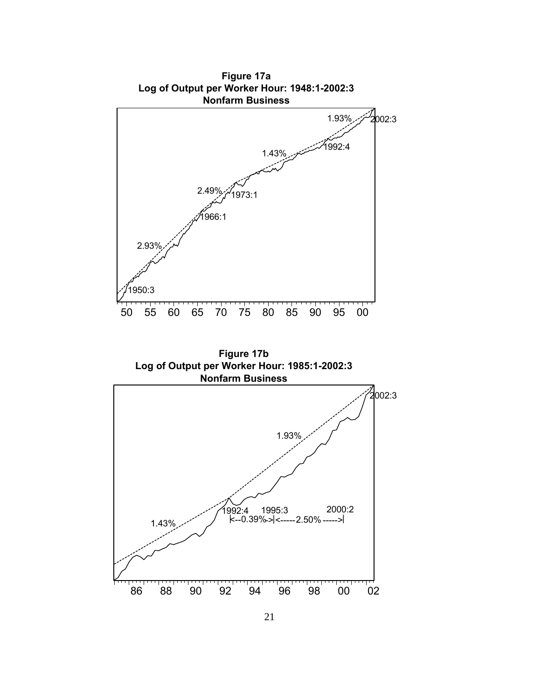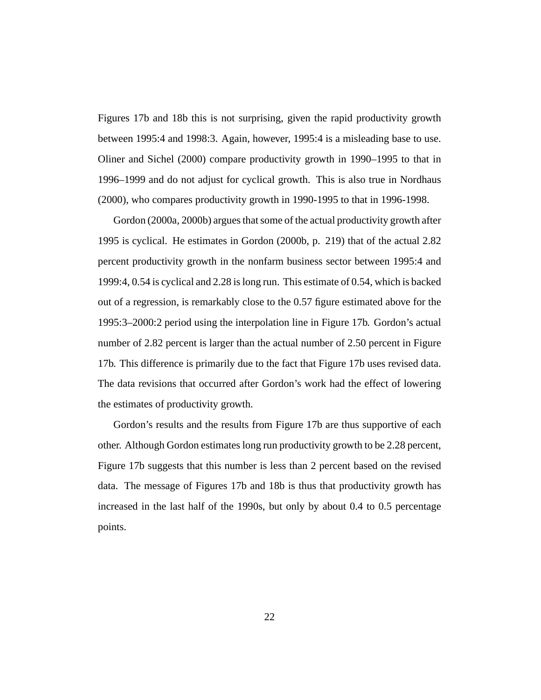Figures 17b and 18b this is not surprising, given the rapid productivity growth between 1995:4 and 1998:3. Again, however, 1995:4 is a misleading base to use. Oliner and Sichel (2000) compare productivity growth in 1990–1995 to that in 1996–1999 and do not adjust for cyclical growth. This is also true in Nordhaus (2000), who compares productivity growth in 1990-1995 to that in 1996-1998.

Gordon (2000a, 2000b) argues that some of the actual productivity growth after 1995 is cyclical. He estimates in Gordon (2000b, p. 219) that of the actual 2.82 percent productivity growth in the nonfarm business sector between 1995:4 and 1999:4, 0.54 is cyclical and 2.28 is long run. This estimate of 0.54, which is backed out of a regression, is remarkably close to the 0.57 figure estimated above for the 1995:3–2000:2 period using the interpolation line in Figure 17b. Gordon's actual number of 2.82 percent is larger than the actual number of 2.50 percent in Figure 17b. This difference is primarily due to the fact that Figure 17b uses revised data. The data revisions that occurred after Gordon's work had the effect of lowering the estimates of productivity growth.

Gordon's results and the results from Figure 17b are thus supportive of each other. Although Gordon estimates long run productivity growth to be 2.28 percent, Figure 17b suggests that this number is less than 2 percent based on the revised data. The message of Figures 17b and 18b is thus that productivity growth has increased in the last half of the 1990s, but only by about 0.4 to 0.5 percentage points.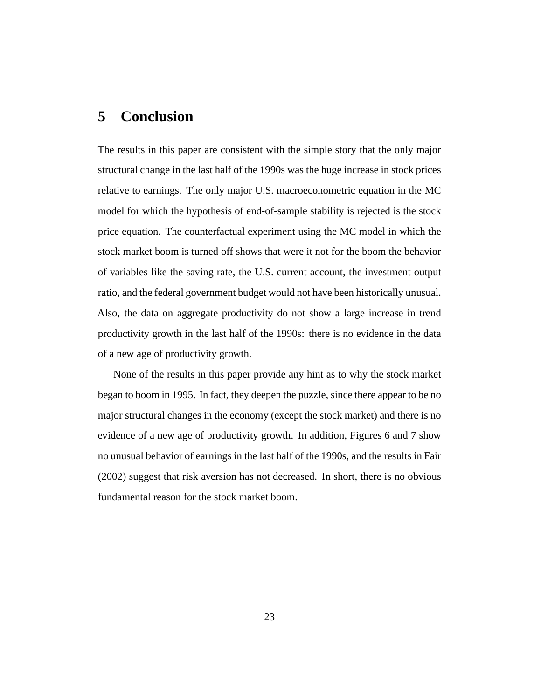### **5 Conclusion**

The results in this paper are consistent with the simple story that the only major structural change in the last half of the 1990s was the huge increase in stock prices relative to earnings. The only major U.S. macroeconometric equation in the MC model for which the hypothesis of end-of-sample stability is rejected is the stock price equation. The counterfactual experiment using the MC model in which the stock market boom is turned off shows that were it not for the boom the behavior of variables like the saving rate, the U.S. current account, the investment output ratio, and the federal government budget would not have been historically unusual. Also, the data on aggregate productivity do not show a large increase in trend productivity growth in the last half of the 1990s: there is no evidence in the data of a new age of productivity growth.

None of the results in this paper provide any hint as to why the stock market began to boom in 1995. In fact, they deepen the puzzle, since there appear to be no major structural changes in the economy (except the stock market) and there is no evidence of a new age of productivity growth. In addition, Figures 6 and 7 show no unusual behavior of earnings in the last half of the 1990s, and the results in Fair (2002) suggest that risk aversion has not decreased. In short, there is no obvious fundamental reason for the stock market boom.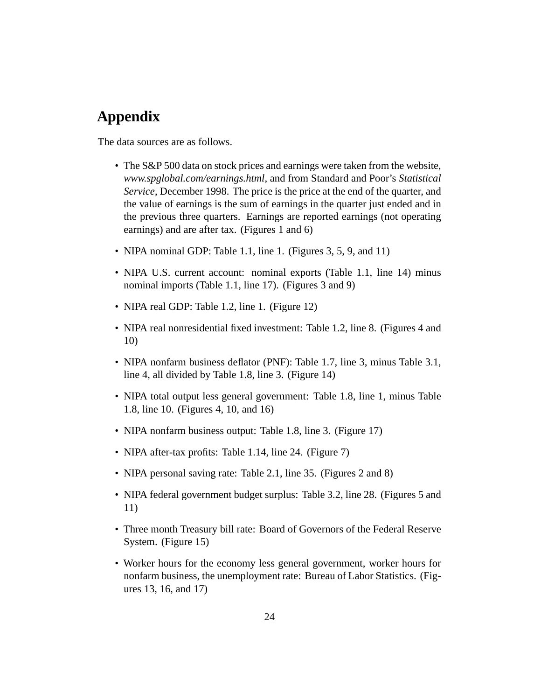# **Appendix**

The data sources are as follows.

- The S&P 500 data on stock prices and earnings were taken from the website, *www.spglobal.com/earnings.html*, and from Standard and Poor's *Statistical Service*, December 1998. The price is the price at the end of the quarter, and the value of earnings is the sum of earnings in the quarter just ended and in the previous three quarters. Earnings are reported earnings (not operating earnings) and are after tax. (Figures 1 and 6)
- NIPA nominal GDP: Table 1.1, line 1. (Figures 3, 5, 9, and 11)
- NIPA U.S. current account: nominal exports (Table 1.1, line 14) minus nominal imports (Table 1.1, line 17). (Figures 3 and 9)
- NIPA real GDP: Table 1.2, line 1. (Figure 12)
- NIPA real nonresidential fixed investment: Table 1.2, line 8. (Figures 4 and 10)
- NIPA nonfarm business deflator (PNF): Table 1.7, line 3, minus Table 3.1, line 4, all divided by Table 1.8, line 3. (Figure 14)
- NIPA total output less general government: Table 1.8, line 1, minus Table 1.8, line 10. (Figures 4, 10, and 16)
- NIPA nonfarm business output: Table 1.8, line 3. (Figure 17)
- NIPA after-tax profits: Table 1.14, line 24. (Figure 7)
- NIPA personal saving rate: Table 2.1, line 35. (Figures 2 and 8)
- NIPA federal government budget surplus: Table 3.2, line 28. (Figures 5 and 11)
- Three month Treasury bill rate: Board of Governors of the Federal Reserve System. (Figure 15)
- Worker hours for the economy less general government, worker hours for nonfarm business, the unemployment rate: Bureau of Labor Statistics. (Figures 13, 16, and 17)